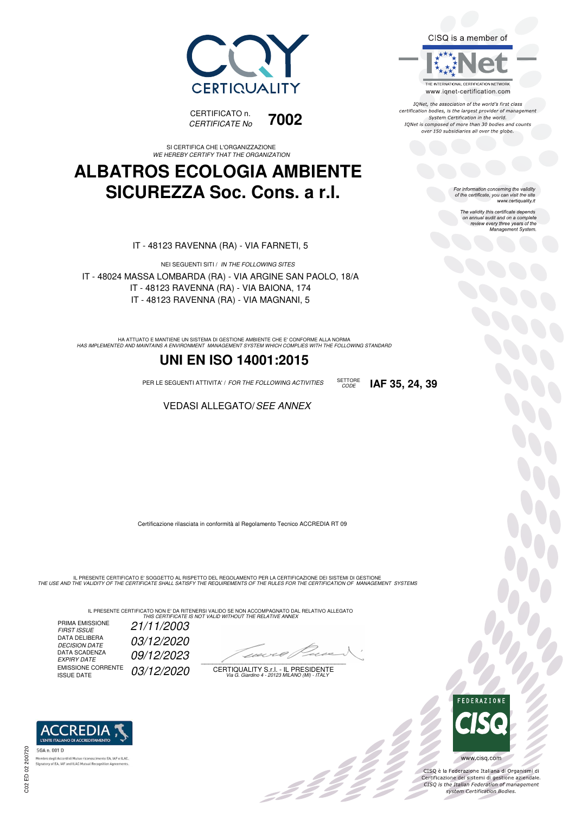



SI CERTIFICA CHE L'ORGANIZZAZIONE *WE HEREBY CERTIFY THAT THE ORGANIZATION*

#### **ALBATROS ECOLOGIA AMBIENTE SICUREZZA Soc. Cons. a r.l.**

IT - 48123 RAVENNA (RA) - VIA FARNETI, 5

NEI SEGUENTI SITI / *IN THE FOLLOWING SITES* IT - 48024 MASSA LOMBARDA (RA) - VIA ARGINE SAN PAOLO, 18/A IT - 48123 RAVENNA (RA) - VIA BAIONA, 174 IT - 48123 RAVENNA (RA) - VIA MAGNANI, 5

HA ATTUATO E MANTIENE UN SISTEMA DI GESTIONE AMBIENTE CHE E' CONFORME ALLA NORMA<br>HAS IMPLEMENTED AND MAINTAINS A ENVIRONMENT MANAGEMENT SYSTEM WHICH COMPLIES WITH THE FOLLOWING STANDARD

#### **UNI EN ISO 14001:2015**

PER LE SEGUENTI ATTIVITA' / *FOR THE FOLLOWING ACTIVITIES* SETTORE

VEDASI ALLEGATO/*SEE ANNEX*

Certificazione rilasciata in conformità al Regolamento Tecnico ACCREDIA RT 09

IL PRESENTE CERTIFICATO E' SOGGETTO AL RISPETTO DEL REGOLAMENTO PER LA CERTIFICAZIONE DEI SISTEMI DI GESTIONE<br>THE USE AND THE VALIDITY OF THE CERTIFICATE SHALL SATISFY THE REQUIREMENTS OF THE RULES FOR THE CERTIFICATION OF

IL PRESENTE CERTIFICATO NON E' DA RITENERSI VALIDO SE NON ACCOMPAGNATO DAL RELATIVO ALLEGATO<br>*THIS CERTIFICATE IS NOT VALID WITHOUT THE RELATIVE ANNEX* 

PRIMA EMISSIONE<br>FIRST ISSUE *FIRST ISSUE 21/11/2003* DATA DELIBERA *DECISION DATE 03/12/2020* DECISION DATE<br>DATA SCADENZA<br>EXPIRY DATE *EXPIRY DATE 09/12/2023* EMISSIONE CORRENTE<br>ISSUE DATE 03/12/2020

 $\overline{\phantom{a}}$ 

: 111

CERTIQUALITY S.r.l. - IL PRESIDENTE *Via G. Giardino 4 - 20123 MILANO (MI) - ITALY*





CISQ è la Federazione Italiana di Organismi di Certificazione dei sistemi di gestione aziendale.<br>CISQ is the Italian Federation of management system Certification Bodies.



SGA n. 001 D. ento EA, IAF e ILAC Membro degli Accordi di Mutuo ricor **Signatory of EA, IAF and ILAC Mutual Recognition Agr** 

C02 ED 02 200720

CISQ is a member of

THE INTERNATIONAL CERTIFICATION NETWORK www.iqnet-certification.com

IONet, the association of the world's first class certification bodies, is the largest provider of management System Certification in the world. IQNet is composed of more than 30 bodies and counts over 150 subsidiaries all over the globe.

*CODE* **IAF 35, 24, 39**

For information concerning the validity<br>of the certificate, you can visit the site<br>www.certiquality.it

The validity this certificate depends on annual audit and on a complete review every three years of the Management System.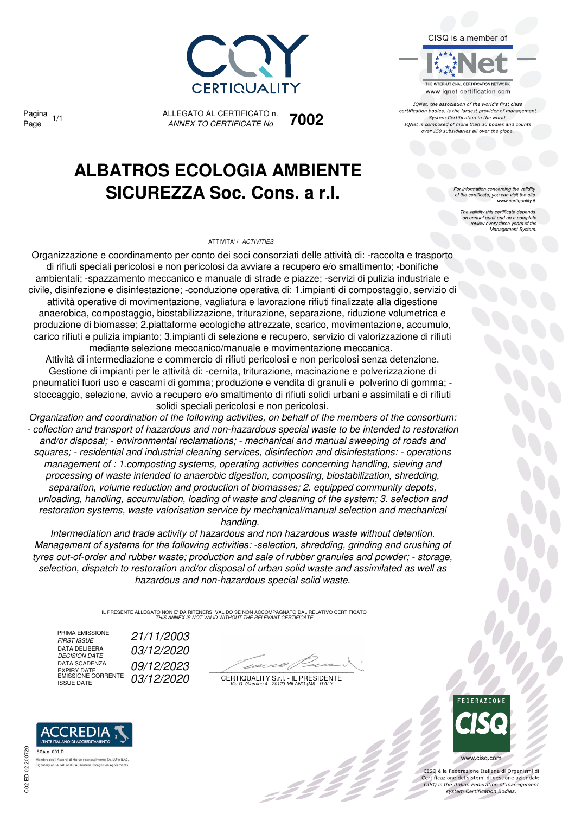

Pagina

ALLEGATO AL CERTIFICATO n. *ANNEX TO CERTIFICATE No* Page 1/1 **7002**

## **ALBATROS ECOLOGIA AMBIENTE SICUREZZA Soc. Cons. a r.l.**

#### ATTIVITA' / *ACTIVITIES*



IONet, the association of the world's first class certification bodies, is the largest provider of management System Certification in the world. IQNet is composed of more than 30 bodies and counts over 150 subsidiaries all over the globe.

For information concerning the validity<br>of the certificate, you can visit the site<br>www.certiquality.it

The validity this certificate depends on annual audit and on a complete review every three years of the Management System.

Organizzazione e coordinamento per conto dei soci consorziati delle attività di: -raccolta e trasporto di rifiuti speciali pericolosi e non pericolosi da avviare a recupero e/o smaltimento; -bonifiche ambientali; -spazzamento meccanico e manuale di strade e piazze; -servizi di pulizia industriale e civile, disinfezione e disinfestazione; -conduzione operativa di: 1.impianti di compostaggio, servizio di attività operative di movimentazione, vagliatura e lavorazione rifiuti finalizzate alla digestione anaerobica, compostaggio, biostabilizzazione, triturazione, separazione, riduzione volumetrica e produzione di biomasse; 2.piattaforme ecologiche attrezzate, scarico, movimentazione, accumulo, carico rifiuti e pulizia impianto; 3.impianti di selezione e recupero, servizio di valorizzazione di rifiuti mediante selezione meccanico/manuale e movimentazione meccanica.

Attività di intermediazione e commercio di rifiuti pericolosi e non pericolosi senza detenzione. Gestione di impianti per le attività di: -cernita, triturazione, macinazione e polverizzazione di pneumatici fuori uso e cascami di gomma; produzione e vendita di granuli e polverino di gomma; stoccaggio, selezione, avvio a recupero e/o smaltimento di rifiuti solidi urbani e assimilati e di rifiuti solidi speciali pericolosi e non pericolosi.

*Organization and coordination of the following activities, on behalf of the members of the consortium: - collection and transport of hazardous and non-hazardous special waste to be intended to restoration and/or disposal; - environmental reclamations; - mechanical and manual sweeping of roads and squares; - residential and industrial cleaning services, disinfection and disinfestations: - operations management of : 1.composting systems, operating activities concerning handling, sieving and processing of waste intended to anaerobic digestion, composting, biostabilization, shredding, separation, volume reduction and production of biomasses; 2. equipped community depots, unloading, handling, accumulation, loading of waste and cleaning of the system; 3. selection and restoration systems, waste valorisation service by mechanical/manual selection and mechanical handling.* 

*Intermediation and trade activity of hazardous and non hazardous waste without detention. Management of systems for the following activities: -selection, shredding, grinding and crushing of tyres out-of-order and rubber waste; production and sale of rubber granules and powder; - storage, selection, dispatch to restoration and/or disposal of urban solid waste and assimilated as well as hazardous and non-hazardous special solid waste.*

> IL PRESENTE ALLEGATO NON E' DA RITENERSI VALIDO SE NON ACCOMPAGNATO DAL RELATIVO CERTIFICATO *THIS ANNEX IS NOT VALID WITHOUT THE RELEVANT CERTIFICATE*

PRIMA EMISSIONE<br>FIRST ISSUE DATA DELIBERA<br>DECISION DATE DATA SCADENZA DATA SCADENZA **DATA SCADENZA**<br>EXPIRY DATE<br>EMISSIONE CORRENTE 03/12/2020

*FIRST ISSUE 21/11/2003 DECISION DATE 03/12/2020*

22

CERTIQUALITY S.r.l. - IL PRESIDENTE EMISSIONE CORRENTE ISSUE DATE *03/12/2020 Via G. Giardino 4 - 20123 MILANO (MI) - ITALY*



www.cisq.com CISQ è la Federazione Italiana di Organismi di

Certificazione dei sistemi di gestione aziendale.<br>CISQ is the Italian Federation of management system Certification Bodies.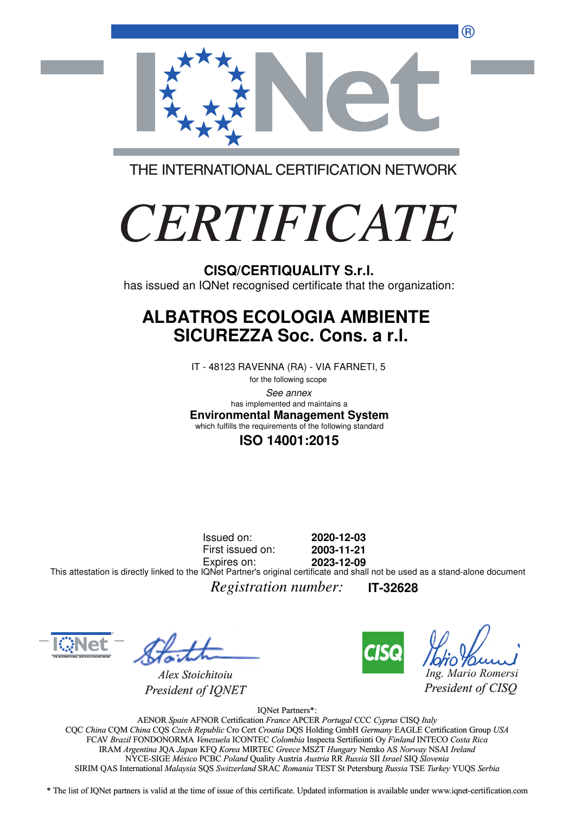®



THE INTERNATIONAL CERTIFICATION NETWORK

# *CERTIFICATE*

has issued an IQNet recognised certificate that the organization:

#### **ALBATROS ECOLOGIA AMBIENTE SICUREZZA Soc. Cons. a r.l.**

IT - 48123 RAVENNA (RA) - VIA FARNETI, 5

for the following scope See annex **Environmental Management System** has implemented and maintains a which fulfills the requirements of the following standard

#### **ISO 14001:2015**

Issued on: First issued on: Expires on: **2020-12-03 2003-11-21 2023-12-09** This attestation is directly linked to the IQNet Partner's original certificate and shall not be used as a stand-alone document

*Registration number:* **IT-32628**



*Alex Stoichitoiu President of IQNET*



*Ing. Mario Romersi*

*President of CISQ* 

IQNet Partners\*:

AENOR *Spain* AFNOR Certification *France* APCER *Portugal* CCC *Cyprus* CISQ *Italy* CQC *China* CQM *China* CQS *Czech Republic* Cro Cert *Croatia* DQS Holding GmbH *Germany* EAGLE Certification Group *USA* Cro Cert FCAV *Brazil* FONDONORMA *Venezuela* ICONTEC *Colombia* Inspecta Sertifiointi Oy *Finland* INTECO *Costa Rica* IRAM *Argentina* JQA *Japan* KFQ *Korea* MIRTEC *Greece* MSZT *Hungary* Nemko AS *Norway* NSAI *Ireland* NYCE-SIGE *México* PCBC *Poland* Quality Austria *Austria* RR *Russia* SII *Israel* SIQ *Slovenia* RR SIRIM QAS International *Malaysia* SQS *Switzerland* SRAC *Romania* TEST St Petersburg *Russia* TSE *Turkey* YUQS *Serbia* CISQ/CERTIQUALITY S.r.I.<br>
has issued an IQNet recognised certificate that the organizz<br> **ALBATROS ECOLOGIA AMBIENTE**<br>
SICUREZZA Soc. Cons. a r.I.<br>
IT -48123 RAVENNA (RA) - VIA FARNETI, 5<br>
lower interactions and complements

\* The list of IQNet partners is valid at the time of issue of this certificate. Updated information is available under www.iqnet-certification.com